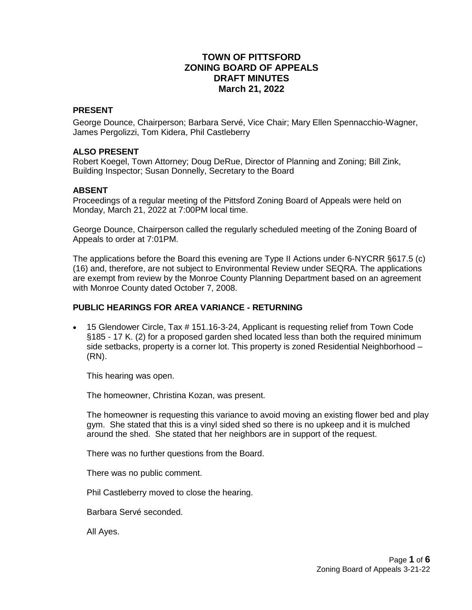# **TOWN OF PITTSFORD ZONING BOARD OF APPEALS DRAFT MINUTES March 21, 2022**

#### **PRESENT**

George Dounce, Chairperson; Barbara Servé, Vice Chair; Mary Ellen Spennacchio-Wagner, James Pergolizzi, Tom Kidera, Phil Castleberry

#### **ALSO PRESENT**

Robert Koegel, Town Attorney; Doug DeRue, Director of Planning and Zoning; Bill Zink, Building Inspector; Susan Donnelly, Secretary to the Board

#### **ABSENT**

Proceedings of a regular meeting of the Pittsford Zoning Board of Appeals were held on Monday, March 21, 2022 at 7:00PM local time.

George Dounce, Chairperson called the regularly scheduled meeting of the Zoning Board of Appeals to order at 7:01PM.

The applications before the Board this evening are Type II Actions under 6-NYCRR §617.5 (c) (16) and, therefore, are not subject to Environmental Review under SEQRA. The applications are exempt from review by the Monroe County Planning Department based on an agreement with Monroe County dated October 7, 2008.

### **PUBLIC HEARINGS FOR AREA VARIANCE - RETURNING**

 15 Glendower Circle, Tax # 151.16-3-24, Applicant is requesting relief from Town Code §185 - 17 K. (2) for a proposed garden shed located less than both the required minimum side setbacks, property is a corner lot. This property is zoned Residential Neighborhood – (RN).

This hearing was open.

The homeowner, Christina Kozan, was present.

The homeowner is requesting this variance to avoid moving an existing flower bed and play gym. She stated that this is a vinyl sided shed so there is no upkeep and it is mulched around the shed. She stated that her neighbors are in support of the request.

There was no further questions from the Board.

There was no public comment.

Phil Castleberry moved to close the hearing.

Barbara Servé seconded.

All Ayes.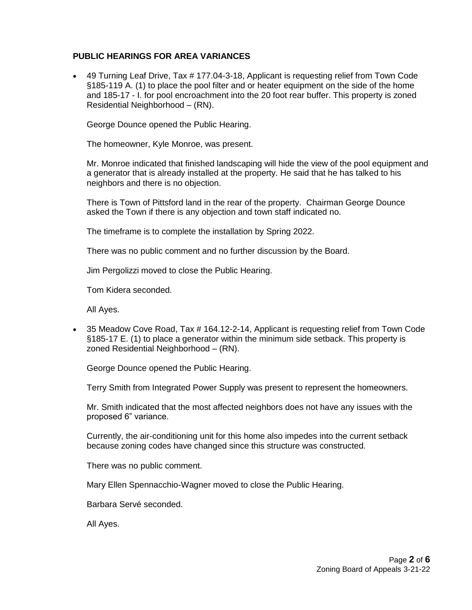## **PUBLIC HEARINGS FOR AREA VARIANCES**

 49 Turning Leaf Drive, Tax # 177.04-3-18, Applicant is requesting relief from Town Code §185-119 A. (1) to place the pool filter and or heater equipment on the side of the home and 185-17 - I. for pool encroachment into the 20 foot rear buffer. This property is zoned Residential Neighborhood – (RN).

George Dounce opened the Public Hearing.

The homeowner, Kyle Monroe, was present.

Mr. Monroe indicated that finished landscaping will hide the view of the pool equipment and a generator that is already installed at the property. He said that he has talked to his neighbors and there is no objection.

There is Town of Pittsford land in the rear of the property. Chairman George Dounce asked the Town if there is any objection and town staff indicated no.

The timeframe is to complete the installation by Spring 2022.

There was no public comment and no further discussion by the Board.

Jim Pergolizzi moved to close the Public Hearing.

Tom Kidera seconded.

All Ayes.

 35 Meadow Cove Road, Tax # 164.12-2-14, Applicant is requesting relief from Town Code §185-17 E. (1) to place a generator within the minimum side setback. This property is zoned Residential Neighborhood – (RN).

George Dounce opened the Public Hearing.

Terry Smith from Integrated Power Supply was present to represent the homeowners.

Mr. Smith indicated that the most affected neighbors does not have any issues with the proposed 6" variance.

Currently, the air-conditioning unit for this home also impedes into the current setback because zoning codes have changed since this structure was constructed.

There was no public comment.

Mary Ellen Spennacchio-Wagner moved to close the Public Hearing.

Barbara Servé seconded.

All Ayes.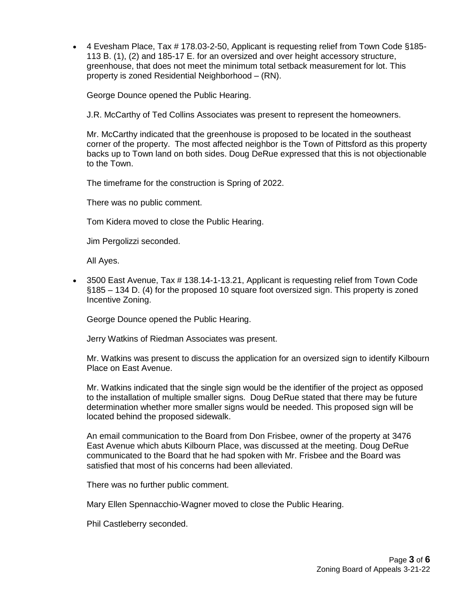4 Evesham Place, Tax # 178.03-2-50, Applicant is requesting relief from Town Code §185- 113 B. (1), (2) and 185-17 E. for an oversized and over height accessory structure, greenhouse, that does not meet the minimum total setback measurement for lot. This property is zoned Residential Neighborhood – (RN).

George Dounce opened the Public Hearing.

J.R. McCarthy of Ted Collins Associates was present to represent the homeowners.

Mr. McCarthy indicated that the greenhouse is proposed to be located in the southeast corner of the property. The most affected neighbor is the Town of Pittsford as this property backs up to Town land on both sides. Doug DeRue expressed that this is not objectionable to the Town.

The timeframe for the construction is Spring of 2022.

There was no public comment.

Tom Kidera moved to close the Public Hearing.

Jim Pergolizzi seconded.

All Ayes.

 3500 East Avenue, Tax # 138.14-1-13.21, Applicant is requesting relief from Town Code §185 – 134 D. (4) for the proposed 10 square foot oversized sign. This property is zoned Incentive Zoning.

George Dounce opened the Public Hearing.

Jerry Watkins of Riedman Associates was present.

Mr. Watkins was present to discuss the application for an oversized sign to identify Kilbourn Place on East Avenue.

Mr. Watkins indicated that the single sign would be the identifier of the project as opposed to the installation of multiple smaller signs. Doug DeRue stated that there may be future determination whether more smaller signs would be needed. This proposed sign will be located behind the proposed sidewalk.

An email communication to the Board from Don Frisbee, owner of the property at 3476 East Avenue which abuts Kilbourn Place, was discussed at the meeting. Doug DeRue communicated to the Board that he had spoken with Mr. Frisbee and the Board was satisfied that most of his concerns had been alleviated.

There was no further public comment.

Mary Ellen Spennacchio-Wagner moved to close the Public Hearing.

Phil Castleberry seconded.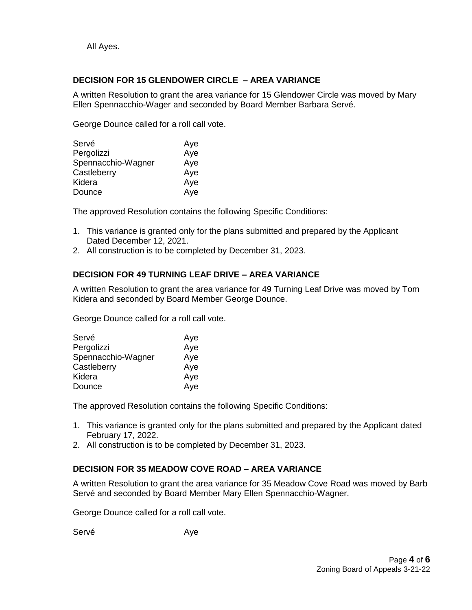All Ayes.

## **DECISION FOR 15 GLENDOWER CIRCLE – AREA VARIANCE**

A written Resolution to grant the area variance for 15 Glendower Circle was moved by Mary Ellen Spennacchio-Wager and seconded by Board Member Barbara Servé.

George Dounce called for a roll call vote.

| Servé              | Aye |
|--------------------|-----|
| Pergolizzi         | Aye |
| Spennacchio-Wagner | Aye |
| Castleberry        | Aye |
| Kidera             | Aye |
| Dounce             | Aye |

The approved Resolution contains the following Specific Conditions:

- 1. This variance is granted only for the plans submitted and prepared by the Applicant Dated December 12, 2021.
- 2. All construction is to be completed by December 31, 2023.

## **DECISION FOR 49 TURNING LEAF DRIVE – AREA VARIANCE**

A written Resolution to grant the area variance for 49 Turning Leaf Drive was moved by Tom Kidera and seconded by Board Member George Dounce.

George Dounce called for a roll call vote.

| Servé              | Aye |
|--------------------|-----|
| Pergolizzi         | Aye |
| Spennacchio-Wagner | Aye |
| Castleberry        | Aye |
| Kidera             | Aye |
| Dounce             | Aye |

The approved Resolution contains the following Specific Conditions:

- 1. This variance is granted only for the plans submitted and prepared by the Applicant dated February 17, 2022.
- 2. All construction is to be completed by December 31, 2023.

## **DECISION FOR 35 MEADOW COVE ROAD – AREA VARIANCE**

A written Resolution to grant the area variance for 35 Meadow Cove Road was moved by Barb Servé and seconded by Board Member Mary Ellen Spennacchio-Wagner.

George Dounce called for a roll call vote.

Servé Aye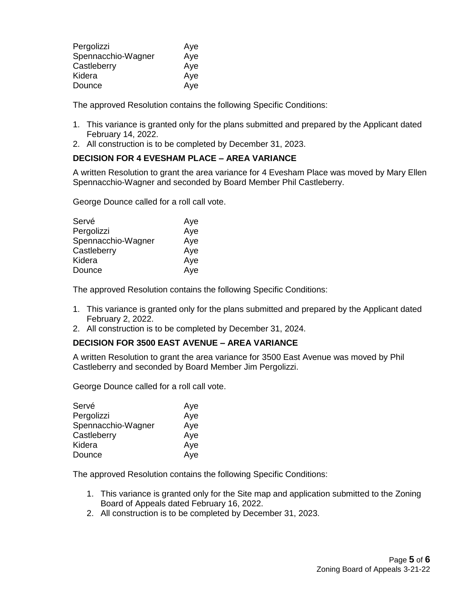| Pergolizzi         | Aye |
|--------------------|-----|
| Spennacchio-Wagner | Aye |
| Castleberry        | Aye |
| Kidera             | Aye |
| Dounce             | Aye |

The approved Resolution contains the following Specific Conditions:

- 1. This variance is granted only for the plans submitted and prepared by the Applicant dated February 14, 2022.
- 2. All construction is to be completed by December 31, 2023.

## **DECISION FOR 4 EVESHAM PLACE – AREA VARIANCE**

A written Resolution to grant the area variance for 4 Evesham Place was moved by Mary Ellen Spennacchio-Wagner and seconded by Board Member Phil Castleberry.

George Dounce called for a roll call vote.

| Servé              | Aye |
|--------------------|-----|
| Pergolizzi         | Aye |
| Spennacchio-Wagner | Aye |
| Castleberry        | Aye |
| Kidera             | Aye |
| Dounce             | Aye |

The approved Resolution contains the following Specific Conditions:

- 1. This variance is granted only for the plans submitted and prepared by the Applicant dated February 2, 2022.
- 2. All construction is to be completed by December 31, 2024.

## **DECISION FOR 3500 EAST AVENUE – AREA VARIANCE**

A written Resolution to grant the area variance for 3500 East Avenue was moved by Phil Castleberry and seconded by Board Member Jim Pergolizzi.

George Dounce called for a roll call vote.

| Servé              | Aye |
|--------------------|-----|
| Pergolizzi         | Aye |
| Spennacchio-Wagner | Aye |
| Castleberry        | Aye |
| Kidera             | Aye |
| Dounce             | Aye |

The approved Resolution contains the following Specific Conditions:

- 1. This variance is granted only for the Site map and application submitted to the Zoning Board of Appeals dated February 16, 2022.
- 2. All construction is to be completed by December 31, 2023.